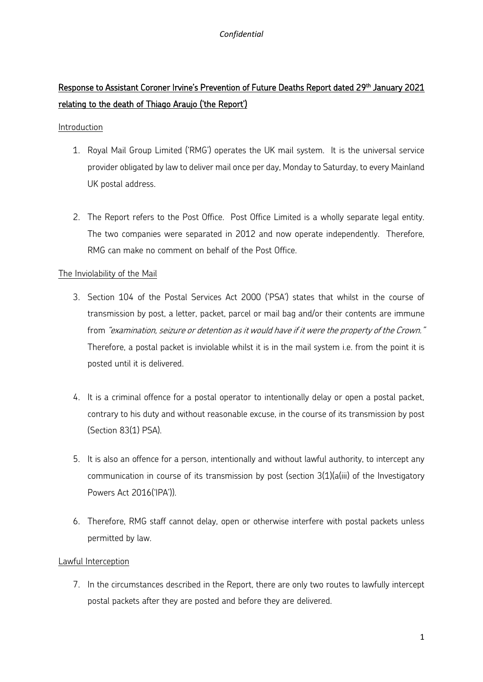### *Confidential*

# Response to Assistant Coroner Irvine's Prevention of Future Deaths Report dated 29<sup>th</sup> January 2021 relating to the death of Thiago Araujo ('the Report')

#### Introduction

- 1. Royal Mail Group Limited ('RMG') operates the UK mail system. It is the universal service provider obligated by law to deliver mail once per day, Monday to Saturday, to every Mainland UK postal address.
- 2. The Report refers to the Post Office. Post Office Limited is a wholly separate legal entity. The two companies were separated in 2012 and now operate independently. Therefore, RMG can make no comment on behalf of the Post Office.

### The Inviolability of the Mail

- 3. Section 104 of the Postal Services Act 2000 ('PSA') states that whilst in the course of transmission by post, a letter, packet, parcel or mail bag and/or their contents are immune from "examination, seizure or detention as it would have if it were the property of the Crown." Therefore, a postal packet is inviolable whilst it is in the mail system i.e. from the point it is posted until it is delivered.
- 4. It is a criminal offence for a postal operator to intentionally delay or open a postal packet, contrary to his duty and without reasonable excuse, in the course of its transmission by post (Section 83(1) PSA).
- 5. It is also an offence for a person, intentionally and without lawful authority, to intercept any communication in course of its transmission by post (section 3(1)(a(iii) of the Investigatory Powers Act 2016('IPA')).
- 6. Therefore, RMG staff cannot delay, open or otherwise interfere with postal packets unless permitted by law.

### Lawful Interception

7. In the circumstances described in the Report, there are only two routes to lawfully intercept postal packets after they are posted and before they are delivered.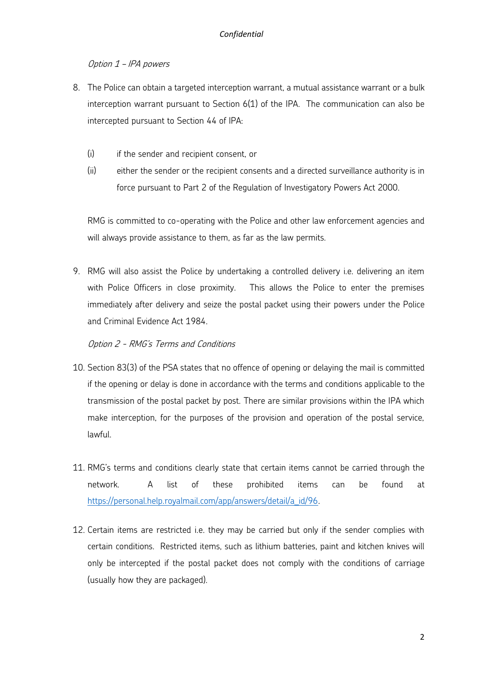# Option 1 – IPA powers

- 8. The Police can obtain a targeted interception warrant, a mutual assistance warrant or a bulk interception warrant pursuant to Section 6(1) of the IPA. The communication can also be intercepted pursuant to Section 44 of IPA:
	- (i) if the sender and recipient consent, or
	- (ii) either the sender or the recipient consents and a directed surveillance authority is in force pursuant to Part 2 of the Regulation of Investigatory Powers Act 2000.

RMG is committed to co-operating with the Police and other law enforcement agencies and will always provide assistance to them, as far as the law permits.

9. RMG will also assist the Police by undertaking a controlled delivery i.e. delivering an item with Police Officers in close proximity. This allows the Police to enter the premises immediately after delivery and seize the postal packet using their powers under the Police and Criminal Evidence Act 1984.

Option 2 - RMG's Terms and Conditions

- 10. Section 83(3) of the PSA states that no offence of opening or delaying the mail is committed if the opening or delay is done in accordance with the terms and conditions applicable to the transmission of the postal packet by post. There are similar provisions within the IPA which make interception, for the purposes of the provision and operation of the postal service, lawful.
- 11. RMG's terms and conditions clearly state that certain items cannot be carried through the network. A list of these prohibited items can be found at [https://personal.help.royalmail.com/app/answers/detail/a\\_id/96.](https://personal.help.royalmail.com/app/answers/detail/a_id/96)
- 12. Certain items are restricted i.e. they may be carried but only if the sender complies with certain conditions. Restricted items, such as lithium batteries, paint and kitchen knives will only be intercepted if the postal packet does not comply with the conditions of carriage (usually how they are packaged).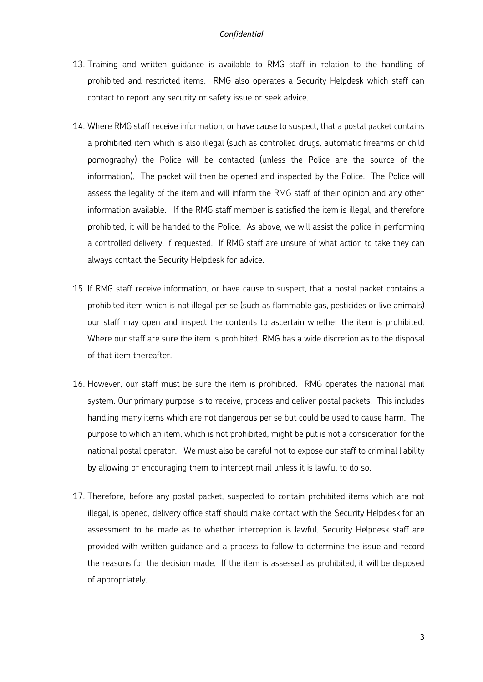#### *Confidential*

- 13. Training and written guidance is available to RMG staff in relation to the handling of prohibited and restricted items. RMG also operates a Security Helpdesk which staff can contact to report any security or safety issue or seek advice.
- 14. Where RMG staff receive information, or have cause to suspect, that a postal packet contains a prohibited item which is also illegal (such as controlled drugs, automatic firearms or child pornography) the Police will be contacted (unless the Police are the source of the information). The packet will then be opened and inspected by the Police. The Police will assess the legality of the item and will inform the RMG staff of their opinion and any other information available. If the RMG staff member is satisfied the item is illegal, and therefore prohibited, it will be handed to the Police. As above, we will assist the police in performing a controlled delivery, if requested. If RMG staff are unsure of what action to take they can always contact the Security Helpdesk for advice.
- 15. If RMG staff receive information, or have cause to suspect, that a postal packet contains a prohibited item which is not illegal per se (such as flammable gas, pesticides or live animals) our staff may open and inspect the contents to ascertain whether the item is prohibited. Where our staff are sure the item is prohibited, RMG has a wide discretion as to the disposal of that item thereafter.
- 16. However, our staff must be sure the item is prohibited. RMG operates the national mail system. Our primary purpose is to receive, process and deliver postal packets. This includes handling many items which are not dangerous per se but could be used to cause harm. The purpose to which an item, which is not prohibited, might be put is not a consideration for the national postal operator. We must also be careful not to expose our staff to criminal liability by allowing or encouraging them to intercept mail unless it is lawful to do so.
- 17. Therefore, before any postal packet, suspected to contain prohibited items which are not illegal, is opened, delivery office staff should make contact with the Security Helpdesk for an assessment to be made as to whether interception is lawful. Security Helpdesk staff are provided with written guidance and a process to follow to determine the issue and record the reasons for the decision made. If the item is assessed as prohibited, it will be disposed of appropriately.